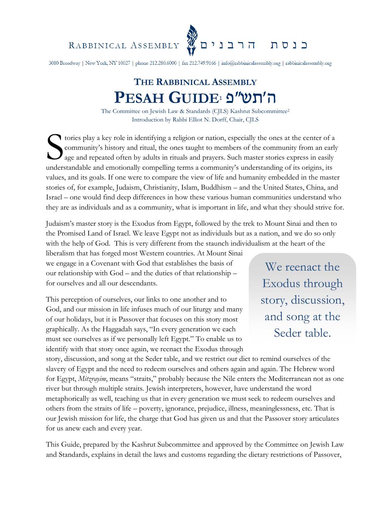RABBINICAL ASSEMBLY

3080 Broadway | New York, NY 10027 | phone 212.280.6000 | fax 212.749.9166 | info@rabbinicalassembly.org | rabbinicalassembly.org

א<br>הרבנים <mark>א</mark>

כנסת

# **THE RABBINICAL ASSEMBLY PESAH GUIDE**<sup>1</sup> ה׳תש״פ

The Committee on Jewish Law & Standards (CJLS) Kashrut Subcommittee<sup>2</sup> Introduction by Rabbi Elliot N. Dorff, Chair, CJLS

tories play a key role in identifying a religion or nation, especially the ones at the center of a<br>
community's history and ritual, the ones taught to members of the community from an early<br>
and repeated often by adults in community's history and ritual, the ones taught to members of the community from an early age and repeated often by adults in rituals and prayers. Such master stories express in easily understandable and emotionally compelling terms a community's understanding of its origins, its values, and its goals. If one were to compare the view of life and humanity embedded in the master stories of, for example, Judaism, Christianity, Islam, Buddhism – and the United States, China, and Israel – one would find deep differences in how these various human communities understand who they are as individuals and as a community, what is important in life, and what they should strive for.

Judaism's master story is the Exodus from Egypt, followed by the trek to Mount Sinai and then to the Promised Land of Israel. We leave Egypt not as individuals but as a nation, and we do so only with the help of God. This is very different from the staunch individualism at the heart of the

liberalism that has forged most Western countries. At Mount Sinai we engage in a Covenant with God that establishes the basis of our relationship with God – and the duties of that relationship – for ourselves and all our descendants.

This perception of ourselves, our links to one another and to God, and our mission in life infuses much of our liturgy and many of our holidays, but it is Passover that focuses on this story most graphically. As the Haggadah says, "In every generation we each must see ourselves as if we personally left Egypt." To enable us to identify with that story once again, we reenact the Exodus through

We reenact the Exodus through story, discussion, and song at the Seder table.

story, discussion, and song at the Seder table, and we restrict our diet to remind ourselves of the slavery of Egypt and the need to redeem ourselves and others again and again. The Hebrew word for Egypt, *Mitzrayim*, means "straits," probably because the Nile enters the Mediterranean not as one river but through multiple straits. Jewish interpreters, however, have understand the word metaphorically as well, teaching us that in every generation we must seek to redeem ourselves and others from the straits of life – poverty, ignorance, prejudice, illness, meaninglessness, etc. That is our Jewish mission for life, the charge that God has given us and that the Passover story articulates for us anew each and every year.

This Guide, prepared by the Kashrut Subcommittee and approved by the Committee on Jewish Law and Standards, explains in detail the laws and customs regarding the dietary restrictions of Passover,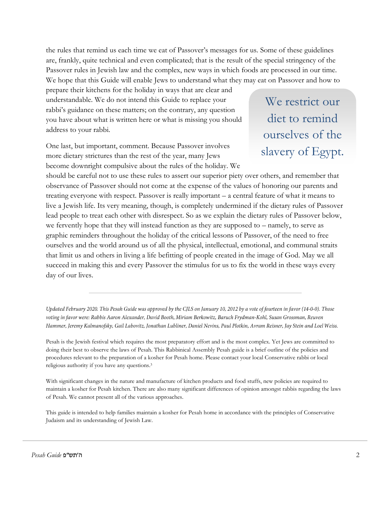the rules that remind us each time we eat of Passover's messages for us. Some of these guidelines are, frankly, quite technical and even complicated; that is the result of the special stringency of the Passover rules in Jewish law and the complex, new ways in which foods are processed in our time. We hope that this Guide will enable Jews to understand what they may eat on Passover and how to

prepare their kitchens for the holiday in ways that are clear and understandable. We do not intend this Guide to replace your rabbi's guidance on these matters; on the contrary, any question you have about what is written here or what is missing you should address to your rabbi.

One last, but important, comment. Because Passover involves more dietary strictures than the rest of the year, many Jews become downright compulsive about the rules of the holiday. We

We restrict our diet to remind ourselves of the slavery of Egypt.

should be careful not to use these rules to assert our superior piety over others, and remember that observance of Passover should not come at the expense of the values of honoring our parents and treating everyone with respect. Passover is really important – a central feature of what it means to live a Jewish life. Its very meaning, though, is completely undermined if the dietary rules of Passover lead people to treat each other with disrespect. So as we explain the dietary rules of Passover below, we fervently hope that they will instead function as they are supposed to – namely, to serve as graphic reminders throughout the holiday of the critical lessons of Passover, of the need to free ourselves and the world around us of all the physical, intellectual, emotional, and communal straits that limit us and others in living a life befitting of people created in the image of God. May we all succeed in making this and every Passover the stimulus for us to fix the world in these ways every day of our lives.

Updated February 2020. This Pesah Guide was approved by the CJLS on January 10, 2012 by a vote of fourteen in favor (14-0-0). Those voting in favor were: Rabbis Aaron Alexander, David Booth, Miriam Berkowitz, Baruch Frydman-Kohl, Susan Grossman, Reuven Hammer, Jeremy Kalmanofsky, Gail Labovitz, Jonathan Lubliner, Daniel Nevins, Paul Plotkin, Avram Reisner, Jay Stein and Loel Weiss.

Pesah is the Jewish festival which requires the most preparatory effort and is the most complex. Yet Jews are committed to doing their best to observe the laws of Pesah. This Rabbinical Assembly Pesah guide is a brief outline of the policies and procedures relevant to the preparation of a kosher for Pesah home. Please contact your local Conservative rabbi or local religious authority if you have any questions.<sup>3</sup>

With significant changes in the nature and manufacture of kitchen products and food stuffs, new policies are required to maintain a kosher for Pesah kitchen. There are also many significant differences of opinion amongst rabbis regarding the laws of Pesah. We cannot present all of the various approaches.

This guide is intended to help families maintain a kosher for Pesah home in accordance with the principles of Conservative Judaism and its understanding of Jewish Law.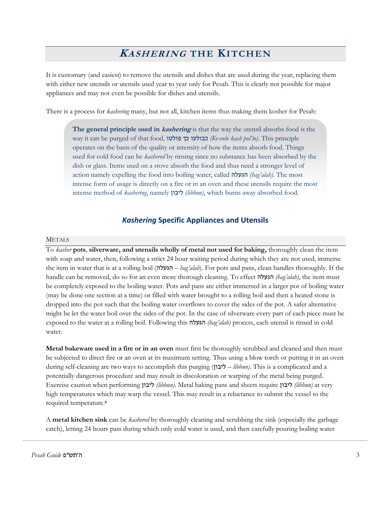## **<sup>K</sup>ASHERING THE KITCHEN**

It is customary (and easiest) to remove the utensils and dishes that are used during the year, replacing them with either new utensils or utensils used year to year only for Pesah. This is clearly not possible for major appliances and may not even be possible for dishes and utensils.

There is a process for *kashering* many, but not all, kitchen items thus making them kosher for Pesah:

**The general principle used in kashering** is that the way the utensil absorbs food is the way it can be purged of that food, פולטו כך כבולעו*) Ke-volo kach pol'to)*. This principle operates on the basis of the quality or intensity of how the items absorb food. Things used for cold food can be *kashered* by rinsing since no substance has been absorbed by the dish or glass. Items used on a stove absorb the food and thus need a stronger level of action namely expelling the food into boiling water, called הגעלה*) hag'alah)*. The most intense form of usage is directly on a fire or in an oven and these utensils require the most intense method of *kashering*, namely ליבון*) libbun)*, which burns away absorbed food.

## *Kashering* **Specific Appliances and Utensils**

## METALS

To *kasher* **pots**, **silverware, and utensils wholly of metal not used for baking,** thoroughly clean the item with soap and water, then, following a strict 24 hour waiting period during which they are not used, immerse the item in water that is at a rolling boil (הגעלה – *hag'alah*). For pots and pans, clean handles thoroughly. If the handle can be removed, do so for an even more thorough cleaning. To effect הגעלה*) hag'alah)*, the item must be completely exposed to the boiling water. Pots and pans are either immersed in a larger pot of boiling water (may be done one section at a time) or filled with water brought to a rolling boil and then a heated stone is dropped into the pot such that the boiling water overflows to cover the sides of the pot. A safer alternative might be let the water boil over the sides of the pot. In the case of silverware every part of each piece must be exposed to the water at a rolling boil. Following this הגעלה*) hag'alah)* process, each utensil is rinsed in cold water.

**Metal bakeware used in a fire or in an oven** must first be thoroughly scrubbed and cleaned and then must be subjected to direct fire or an oven at its maximum setting. Thus using a blow torch or putting it in an oven during self-cleaning are two ways to accomplish this purging ( ליבון *– libbun)*. This is a complicated and a potentially dangerous procedure and may result in discoloration or warping of the metal being purged. Exercise caution when performing ליבון*) libbun)*. Metal baking pans and sheets require ליבון*) libbun)* at very high temperatures which may warp the vessel. This may result in a reluctance to submit the vessel to the required temperature.**<sup>4</sup>**

A **metal kitchen sink** can be *kashered* by thoroughly cleaning and scrubbing the sink (especially the garbage catch), letting 24 hours pass during which only cold water is used, and then carefully pouring boiling water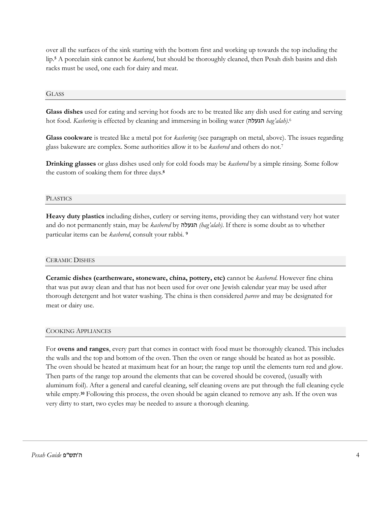over all the surfaces of the sink starting with the bottom first and working up towards the top including the lip. **<sup>5</sup>** A porcelain sink cannot be *kashered*, but should be thoroughly cleaned, then Pesah dish basins and dish racks must be used, one each for dairy and meat.

## **GLASS**

**Glass dishes** used for eating and serving hot foods are to be treated like any dish used for eating and serving hot food. *Kashering* is effected by cleaning and immersing in boiling water (הגעלה *hag'alah)*. 6

**Glass cookware** is treated like a metal pot for *kashering* (see paragraph on metal, above). The issues regarding glass bakeware are complex. Some authorities allow it to be *kashered* and others do not.<sup>7</sup>

**Drinking glasses** or glass dishes used only for cold foods may be *kashered* by a simple rinsing. Some follow the custom of soaking them for three days.**<sup>8</sup>**

#### **PLASTICS**

**Heavy duty plastics** including dishes, cutlery or serving items, providing they can withstand very hot water and do not permanently stain, may be *kashered* by הגעלה*) hag'alah)*. If there is some doubt as to whether particular items can be *kashered*, consult your rabbi. **<sup>9</sup>**

#### CERAMIC DISHES

**Ceramic dishes (earthenware, stoneware, china, pottery, etc)** cannot be *kashered*. However fine china that was put away clean and that has not been used for over one Jewish calendar year may be used after thorough detergent and hot water washing. The china is then considered *pareve* and may be designated for meat or dairy use.

#### COOKING APPLIANCES

For **ovens and ranges**, every part that comes in contact with food must be thoroughly cleaned. This includes the walls and the top and bottom of the oven. Then the oven or range should be heated as hot as possible. The oven should be heated at maximum heat for an hour; the range top until the elements turn red and glow. Then parts of the range top around the elements that can be covered should be covered, (usually with aluminum foil). After a general and careful cleaning, self cleaning ovens are put through the full cleaning cycle while empty.<sup>10</sup> Following this process, the oven should be again cleaned to remove any ash. If the oven was very dirty to start, two cycles may be needed to assure a thorough cleaning.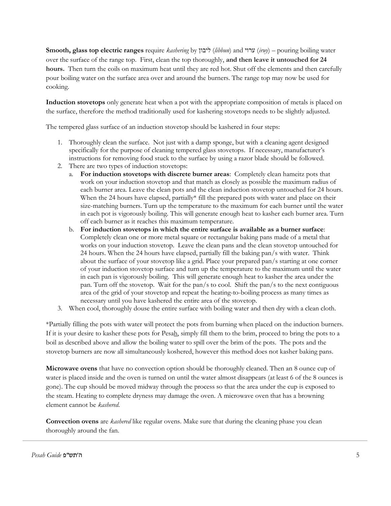**Smooth, glass top electric ranges** require *kashering* by ליבון) *libbun*) and ערוי) *iruy*) – pouring boiling water over the surface of the range top. First, clean the top thoroughly, **and then leave it untouched for 24 hours.** Then turn the coils on maximum heat until they are red hot. Shut off the elements and then carefully pour boiling water on the surface area over and around the burners. The range top may now be used for cooking.

**Induction stovetops** only generate heat when a pot with the appropriate composition of metals is placed on the surface, therefore the method traditionally used for kashering stovetops needs to be slightly adjusted.

The tempered glass surface of an induction stovetop should be kashered in four steps:

- 1. Thoroughly clean the surface. Not just with a damp sponge, but with a cleaning agent designed specifically for the purpose of cleaning tempered glass stovetops. If necessary, manufacturer's instructions for removing food stuck to the surface by using a razor blade should be followed.
- 2. There are two types of induction stovetops:
	- a. **For induction stovetops with discrete burner areas**: Completely clean hameitz pots that work on your induction stovetop and that match as closely as possible the maximum radius of each burner area. Leave the clean pots and the clean induction stovetop untouched for 24 hours. When the 24 hours have elapsed, partially\* fill the prepared pots with water and place on their size-matching burners. Turn up the temperature to the maximum for each burner until the water in each pot is vigorously boiling. This will generate enough heat to kasher each burner area. Turn off each burner as it reaches this maximum temperature.
	- b. **For induction stovetops in which the entire surface is available as a burner surface**: Completely clean one or more metal square or rectangular baking pans made of a metal that works on your induction stovetop. Leave the clean pans and the clean stovetop untouched for 24 hours. When the 24 hours have elapsed, partially fill the baking pan/s with water. Think about the surface of your stovetop like a grid. Place your prepared pan/s starting at one corner of your induction stovetop surface and turn up the temperature to the maximum until the water in each pan is vigorously boiling. This will generate enough heat to kasher the area under the pan. Turn off the stovetop. Wait for the pan/s to cool. Shift the pan/s to the next contiguous area of the grid of your stovetop and repeat the heating-to-boiling process as many times as necessary until you have kashered the entire area of the stovetop.
- 3. When cool, thoroughly douse the entire surface with boiling water and then dry with a clean cloth.

\*Partially filling the pots with water will protect the pots from burning when placed on the induction burners. If it is your desire to kasher these pots for Pesah, simply fill them to the brim, proceed to bring the pots to a boil as described above and allow the boiling water to spill over the brim of the pots. The pots and the stovetop burners are now all simultaneously koshered, however this method does not kasher baking pans.

**Microwave ovens** that have no convection option should be thoroughly cleaned. Then an 8 ounce cup of water is placed inside and the oven is turned on until the water almost disappears (at least 6 of the 8 ounces is gone). The cup should be moved midway through the process so that the area under the cup is exposed to the steam. Heating to complete dryness may damage the oven. A microwave oven that has a browning element cannot be *kashered*.

**Convection ovens** are *kashered* like regular ovens. Make sure that during the cleaning phase you clean thoroughly around the fan.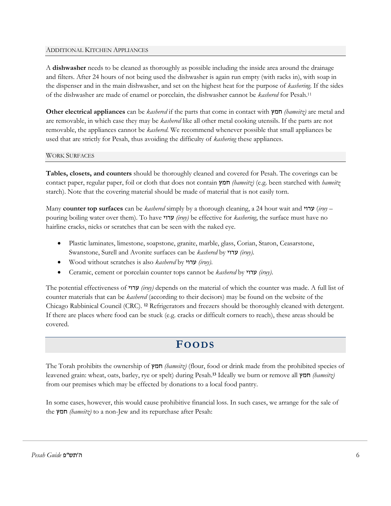## ADDITIONAL KITCHEN APPLIANCES

A **dishwasher** needs to be cleaned as thoroughly as possible including the inside area around the drainage and filters. After 24 hours of not being used the dishwasher is again run empty (with racks in), with soap in the dispenser and in the main dishwasher, and set on the highest heat for the purpose of *kashering*. If the sides of the dishwasher are made of enamel or porcelain, the dishwasher cannot be *kashered* for Pesah.<sup>11</sup>

**Other electrical appliances** can be *kashered* if the parts that come in contact with חמץ*) hameitz)* are metal and are removable, in which case they may be *kashered* like all other metal cooking utensils. If the parts are not removable, the appliances cannot be *kashered*. We recommend whenever possible that small appliances be used that are strictly for Pesah, thus avoiding the difficulty of *kashering* these appliances.

## WORK SURFACES

**Tables, closets, and counters** should be thoroughly cleaned and covered for Pesah. The coverings can be contact paper, regular paper, foil or cloth that does not contain חמץ*) hameitz)* (e.g. been starched with *hameitz* starch). Note that the covering material should be made of material that is not easily torn.

Many **counter top surfaces** can be *kashered* simply by a thorough cleaning, a 24 hour wait and ערוי) *iruy* – pouring boiling water over them). To have ערוי*) iruy)* be effective for *kashering*, the surface must have no hairline cracks, nicks or scratches that can be seen with the naked eye.

- Plastic laminates, limestone, soapstone, granite, marble, glass, Corian, Staron, Ceasarstone, Swanstone, Surell and Avonite surfaces can be *kashered* by ערוי*) iruy)*.
- Wood without scratches is also *kashered* by ערוי*) iruy)*.
- Ceramic, cement or porcelain counter tops cannot be *kashered* by ערוי*) iruy)*.

The potential effectiveness of ערוי*) iruy)* depends on the material of which the counter was made. A full list of counter materials that can be *kashered* (according to their decisors) may be found on the website of the Chicago Rabbinical Council (CRC). **<sup>12</sup>** Refrigerators and freezers should be thoroughly cleaned with detergent. If there are places where food can be stuck (e.g. cracks or difficult corners to reach), these areas should be covered.

## **FOODS**

The Torah prohibits the ownership of חמץ*) hameitz)* (flour, food or drink made from the prohibited species of leavened grain: wheat, oats, barley, rye or spelt) during Pesah. **<sup>13</sup>** Ideally we burn or remove all חמץ*) hameitz)* from our premises which may be effected by donations to a local food pantry.

In some cases, however, this would cause prohibitive financial loss. In such cases, we arrange for the sale of the חמץ*) hameitz)* to a non-Jew and its repurchase after Pesah: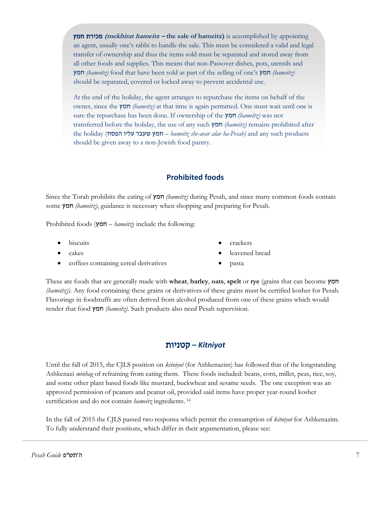חמץ מכירת**) mekhirat hameitz – the sale of hameitz)** is accomplished by appointing an agent, usually one's rabbi to handle the sale. This must be considered a valid and legal transfer of ownership and thus the items sold must be separated and stored away from all other foods and supplies. This means that non-Passover dishes, pots, utensils and חמץ*) hameitz)* food that have been sold as part of the selling of one's חמץ*) hameitz)* should be separated, covered or locked away to prevent accidental use.

At the end of the holiday, the agent arranges to repurchase the items on behalf of the owner, since the חמץ*) hameitz)* at that time is again permitted. One must wait until one is sure the repurchase has been done. If ownership of the חמץ*) hameitz)* was not transferred before the holiday, the use of any such חמץ*) hameitz)* remains prohibited after the holiday (הפסח עליו שעבר חמץ – *hameitz she-avar alav ha-Pesah)* and any such products should be given away to a non-Jewish food pantry.

## **Prohibited foods**

Since the Torah prohibits the eating of חמץ*) hameitz)* during Pesah, and since many common foods contain some חמץ*) hameitz)*, guidance is necessary when shopping and preparing for Pesah.

Prohibited foods (חמץ – *hameitz*) include the following:

- **biscuits**
- cakes
- coffees containing cereal derivatives
- crackers
- leavened bread
- pasta

These are foods that are generally made with **wheat**, **barley**, **oats**, **spelt** or **rye** (grains that can become חמץ *(hameitz)*). Any food containing these grains or derivatives of these grains must be certified kosher for Pesah. Flavorings in foodstuffs are often derived from alcohol produced from one of these grains which would render that food חמץ*) hameitz)*. Such products also need Pesah supervision.

## *Kitniyot* **–** קטניות

Until the fall of 2015, the CJLS position on *kitniyot* (for Ashkenazim) has followed that of the longstanding Ashkenazi *minhag* of refraining from eating them. These foods included: beans, corn, millet, peas, rice, soy, and some other plant based foods like mustard, buckwheat and sesame seeds. The one exception was an approved permission of peanuts and peanut oil, provided said items have proper year-round kosher certification and do not contain *hameitz* ingredients. <sup>14</sup>

In the fall of 2015 the CJLS passed two responsa which permit the consumption of *kitniyot* for Ashkenazim. To fully understand their positions, which differ in their argumentation, please see: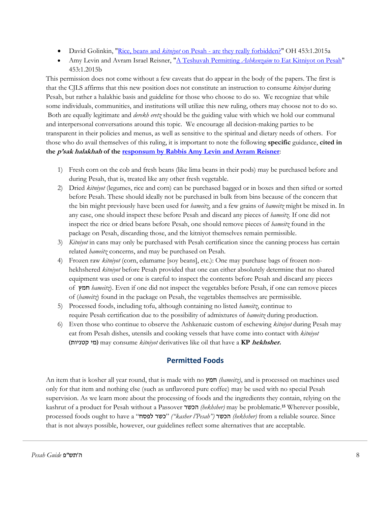- David Golinkin, "Rice, beans and *kitniyot* on Pesah [are they really forbidden?"](http://www.rabbinicalassembly.org/sites/default/files/public/halakhah/teshuvot/2011-2020/Golinkin-Kitniyot.pdf) OH 453:1.2015a
- Amy Levin and Avram Israel Reisner, "A Teshuvah Permitting *Ashkenzaim* [to Eat Kitniyot on Pesah"](http://www.rabbinicalassembly.org/sites/default/files/public/halakhah/teshuvot/2011-2020/Levin-Reisner-Kitniyot.pdf) 453:1.2015b

This permission does not come without a few caveats that do appear in the body of the papers. The first is that the CJLS affirms that this new position does not constitute an instruction to consume *kitniyot* during Pesah, but rather a halakhic basis and guideline for those who choose to do so*.* We recognize that while some individuals, communities, and institutions will utilize this new ruling, others may choose not to do so. Both are equally legitimate and *derekh eretz* should be the guiding value with which we hold our communal and interpersonal conversations around this topic. We encourage all decision-making parties to be transparent in their policies and menus, as well as sensitive to the spiritual and dietary needs of others. For those who do avail themselves of this ruling, it is important to note the following **specific** guidance, **cited in the <sup>p</sup>'sak halakhah of the [responsum by Rabbis Amy Levin and Avram Reisner](http://www.rabbinicalassembly.org/sites/default/files/public/halakhah/teshuvot/2011-2020/Levin-Reisner-Kitniyot.pdf)**:

- 1) Fresh corn on the cob and fresh beans (like lima beans in their pods) may be purchased before and during Pesah, that is, treated like any other fresh vegetable.
- 2) Dried *kitniyot* (legumes, rice and corn) can be purchased bagged or in boxes and then sifted or sorted before Pesah. These should ideally not be purchased in bulk from bins because of the concern that the bin might previously have been used for *hameitz*, and a few grains of *hameitz* might be mixed in. In any case, one should inspect these before Pesah and discard any pieces of *hameitz*. If one did not inspect the rice or dried beans before Pesah, one should remove pieces of *hameitz* found in the package on Pesah, discarding those, and the kitniyot themselves remain permissible.
- 3) *Kitniyot* in cans may only be purchased with Pesah certification since the canning process has certain related *hameitz* concerns, and may be purchased on Pesah.
- 4) Frozen raw *kitniyot* (corn, edamame [soy beans], etc.): One may purchase bags of frozen nonhekhshered *kitniyot* before Pesah provided that one can either absolutely determine that no shared equipment was used or one is careful to inspect the contents before Pesah and discard any pieces of חמץ *hameitz*). Even if one did not inspect the vegetables before Pesah, if one can remove pieces of (*hameitz*) found in the package on Pesah, the vegetables themselves are permissible.
- 5) Processed foods, including tofu, although containing no listed *hameitz*, continue to require Pesah certification due to the possibility of admixtures of *hameitz* during production.
- 6) Even those who continue to observe the Ashkenazic custom of eschewing *kitniyot* during Pesah may eat from Pesah dishes, utensils and cooking vessels that have come into contact with *kitniyot* )קטניות מי )may consume *kitniyot* derivatives like oil that have a **KP hekhsher.**

## **Permitted Foods**

An item that is kosher all year round, that is made with no חמץ*) hameitz)*, and is processed on machines used only for that item and nothing else (such as unflavored pure coffee) may be used with no special Pesah supervision. As we learn more about the processing of foods and the ingredients they contain, relying on the kashrut of a product for Pesah without a Passover הכשר*) hekhsher)* may be problematic.**<sup>15</sup>** Wherever possible, processed foods ought to have a "לפסח כשר*")* "*kasher l'Pesah")* הכשר*) hekhsher)* from a reliable source. Since that is not always possible, however, our guidelines reflect some alternatives that are acceptable.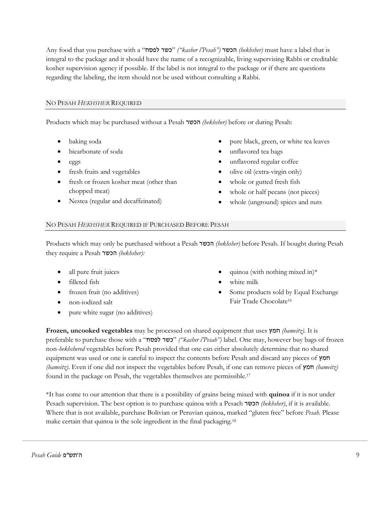Any food that you purchase with a "לפסח כשר*")* "*kasher l'Pesah")* הכשר*) hekhsher)* must have a label that is integral to the package and it should have the name of a recognizable, living supervising Rabbi or creditable kosher supervision agency if possible. If the label is not integral to the package or if there are questions regarding the labeling, the item should not be used without consulting a Rabbi.

## NO PESAH *HEKHSHER* REQUIRED

Products which may be purchased without a Pesah הכשר*) hekhsher)* before or during Pesah:

- baking soda
- bicarbonate of soda
- eggs
- fresh fruits and vegetables
- fresh or frozen kosher meat (other than chopped meat)
- Nestea (regular and decaffeinated)
- pure black, green, or white tea leaves
- unflavored tea bags
- unflavored regular coffee
- olive oil (extra-virgin only)
- whole or gutted fresh fish
- whole or half pecans (not pieces)
- whole (unground) spices and nuts

## NO PESAH *HEKHSHER* REQUIRED IF PURCHASED BEFORE PESAH

Products which may only be purchased without a Pesah הכשר*) hekhsher)* before Pesah. If bought during Pesah they require a Pesah הכשר*) hekhsher):*

- all pure fruit juices
- filleted fish
- frozen fruit (no additives)
- non-iodized salt
- pure white sugar (no additives)
- quinoa (with nothing mixed in) $*$
- white milk
- Some products sold by Equal Exchange Fair Trade Chocolate<sup>16</sup>

**Frozen, uncooked vegetables** may be processed on shared equipment that uses חמץ*) hameitz)*. It is preferable to purchase those with a "לפסח כשר*")* "*kasher l'Pesah")* label. One may, however buy bags of frozen non-*hekhshered* vegetables before Pesah provided that one can either absolutely determine that no shared equipment was used or one is careful to inspect the contents before Pesah and discard any pieces of חמץ *(hameitz)*. Even if one did not inspect the vegetables before Pesah, if one can remove pieces of חמץ*) hameitz)* found in the package on Pesah, the vegetables themselves are permissible. 17

\*It has come to our attention that there is a possibility of grains being mixed with **quinoa** if it is not under Pesach supervision. The best option is to purchase quinoa with a Pesach הכשר*) hekhsher)*, if it is available. Where that is not available, purchase Bolivian or Peruvian quinoa, marked "gluten free" before *Pesah*. Please make certain that quinoa is the sole ingredient in the final packaging.18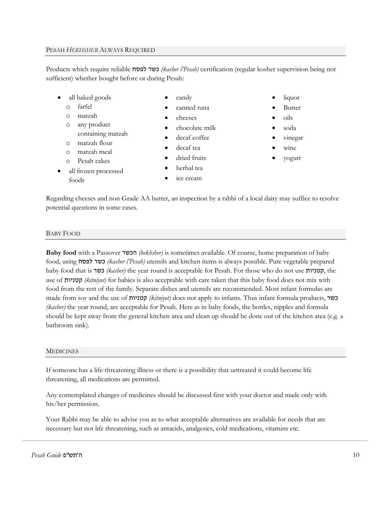## PESAH *HEKHSHER* ALWAYS REQUIRED

Products which require reliable לפסח כשר*) kasher l'Pesah)* certification (regular kosher supervision being not sufficient) whether bought before or during Pesah:

- all baked goods
	- o farfel
	- o matzah
	- o any product
	- containing matzah
	- o matzah flour
	- o matzah meal
	- o Pesah cakes
- all frozen processed foods
- candy
- canned tuna
- cheeses
- chocolate milk
- decaf coffee
- decaf tea
- dried fruits
- herbal tea
- ice cream
- liquor
- Butter
- oils
- soda
- vinegar
- wine
- yogurt

Regarding cheeses and non Grade AA butter, an inspection by a rabbi of a local dairy may suffice to resolve potential questions in some cases.

## BABY FOOD

**Baby food** with a Passover הכשר*) hekhsher)* is sometimes available. Of course, home preparation of baby food, using לפסח כשר*) kasher l'Pesah)* utensils and kitchen items is always possible. Pure vegetable prepared baby food that is כשר*) kasher)* the year round is acceptable for Pesah. For those who do not use קטניות, the use of קטניות*) kitniyot)* for babies is also acceptable with care taken that this baby food does not mix with food from the rest of the family. Separate dishes and utensils are recommended. Most infant formulas are made from soy and the use of קטניות*) kitniyot)* does not apply to infants. Thus infant formula products, כשר *(kasher)* the year round, are acceptable for Pesah. Here as in baby foods, the bottles, nipples and formula should be kept away from the general kitchen area and clean up should be done out of the kitchen area (e.g. a bathroom sink).

## **MEDICINES**

If someone has a life-threatening illness or there is a possibility that untreated it could become life threatening, all medications are permitted.

Any contemplated changes of medicines should be discussed first with your doctor and made only with his/her permission.

Your Rabbi may be able to advise you as to what acceptable alternatives are available for needs that are necessary but not life threatening, such as antacids, analgesics, cold medications, vitamins etc.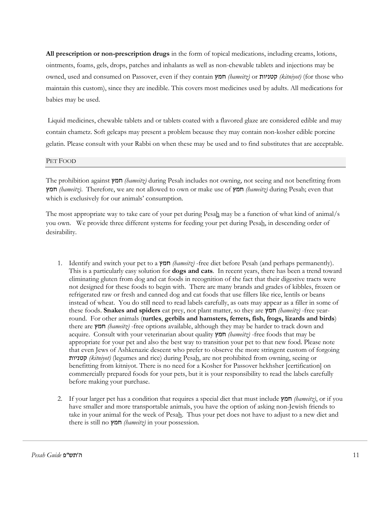**All prescription or non-prescription drugs** in the form of topical medications, including creams, lotions, ointments, foams, gels, drops, patches and inhalants as well as non-chewable tablets and injections may be owned, used and consumed on Passover, even if they contain חמץ*) hameitz)* or קטניות*) kitniyot)* (for those who maintain this custom), since they are inedible. This covers most medicines used by adults. All medications for babies may be used.

Liquid medicines, chewable tablets and or tablets coated with a flavored glaze are considered edible and may contain chametz. Soft gelcaps may present a problem because they may contain non-kosher edible porcine gelatin. Please consult with your Rabbi on when these may be used and to find substitutes that are acceptable.

#### PET FOOD

The prohibition against חמץ*) hameitz)* during Pesah includes not owning, not seeing and not benefitting from חמץ*) hameitz)*. Therefore, we are not allowed to own or make use of חמץ*) hameitz)* during Pesah; even that which is exclusively for our animals' consumption.

The most appropriate way to take care of your pet during Pesah may be a function of what kind of animal/s you own. We provide three different systems for feeding your pet during Pesah, in descending order of desirability.

- 1. Identify and switch your pet to a חמץ*) hameitz)* -free diet before Pesah (and perhaps permanently). This is a particularly easy solution for **dogs and cats**. In recent years, there has been a trend toward eliminating gluten from dog and cat foods in recognition of the fact that their digestive tracts were not designed for these foods to begin with. There are many brands and grades of kibbles, frozen or refrigerated raw or fresh and canned dog and cat foods that use fillers like rice, lentils or beans instead of wheat. You do still need to read labels carefully, as oats may appear as a filler in some of these foods. **Snakes and spiders** eat prey, not plant matter, so they are חמץ*) hameitz)* -free yearround. For other animals (**turtles**, **gerbils and hamsters, ferrets, fish, frogs, lizards and birds**) there are חמץ*) hameitz)* -free options available, although they may be harder to track down and acquire. Consult with your veterinarian about quality חמץ*) hameitz)* -free foods that may be appropriate for your pet and also the best way to transition your pet to that new food. Please note that even Jews of Ashkenazic descent who prefer to observe the more stringent custom of forgoing קטניות*) kitniyot)* (legumes and rice) during Pesah, are not prohibited from owning, seeing or benefitting from kitniyot. There is no need for a Kosher for Passover hekhsher [certification] on commercially prepared foods for your pets, but it is your responsibility to read the labels carefully before making your purchase.
- 2. If your larger pet has a condition that requires a special diet that must include חמץ*) hameitz)*, or if you have smaller and more transportable animals, you have the option of asking non-Jewish friends to take in your animal for the week of Pesah. Thus your pet does not have to adjust to a new diet and there is still no חמץ*) hameitz)* in your possession.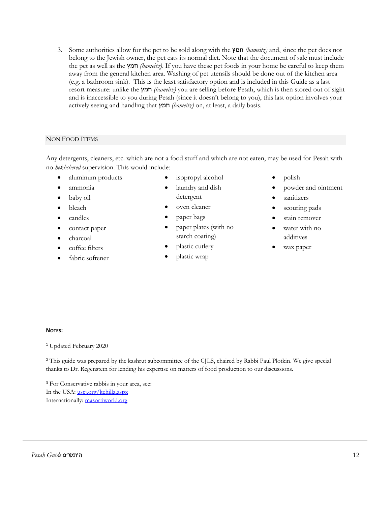3. Some authorities allow for the pet to be sold along with the חמץ*) hameitz)* and, since the pet does not belong to the Jewish owner, the pet eats its normal diet. Note that the document of sale must include the pet as well as the חמץ*) hameitz)*. If you have these pet foods in your home be careful to keep them away from the general kitchen area. Washing of pet utensils should be done out of the kitchen area (e.g. a bathroom sink). This is the least satisfactory option and is included in this Guide as a last resort measure: unlike the חמץ*) hameitz)* you are selling before Pesah, which is then stored out of sight and is inaccessible to you during Pesah (since it doesn't belong to you), this last option involves your actively seeing and handling that חמץ*) hameitz)* on, at least, a daily basis.

## NON FOOD ITEMS

Any detergents, cleaners, etc. which are not a food stuff and which are not eaten, may be used for Pesah with no *hekhshered* supervision. This would include:

- aluminum products
- ammonia
- baby oil
- bleach
- candles
- contact paper
- charcoal
- coffee filters
- fabric softener
- isopropyl alcohol
- laundry and dish detergent
- oven cleaner
- paper bags
- paper plates (with no starch coating)
- plastic cutlery
- plastic wrap
- polish
- powder and ointment
- sanitizers
- scouring pads
- stain remover
- water with no additives
- wax paper

## **NOTES:**

<sup>1</sup> Updated February 2020

**<sup>2</sup>** This guide was prepared by the kashrut subcommittee of the CJLS, chaired by Rabbi Paul Plotkin. We give special thanks to Dr. Regenstein for lending his expertise on matters of food production to our discussions.

**<sup>3</sup>** For Conservative rabbis in your area, see: In the USA: [uscj.org/kehilla.aspx](http://www.uscj.org/kehilla.aspx) Internationally: [masortiworld.org](http://www.masortiworld.org/)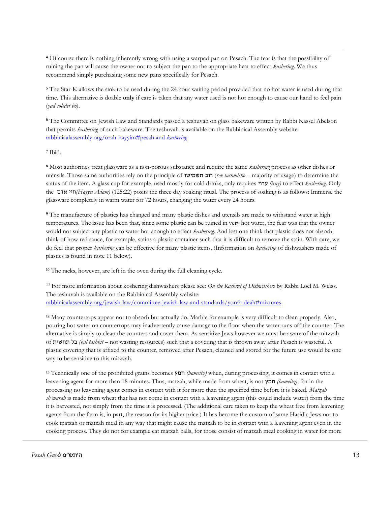**<sup>4</sup>** Of course there is nothing inherently wrong with using a warped pan on Pesach. The fear is that the possibility of ruining the pan will cause the owner not to subject the pan to the appropriate heat to effect *kashering*. We thus recommend simply purchasing some new pans specifically for Pesach.

**<sup>5</sup>** The Star-K allows the sink to be used during the 24 hour waiting period provided that no hot water is used during that time. This alternative is doable **only** if care is taken that any water used is not hot enough to cause our hand to feel pain (*yad soledet bo*).

<sup>6</sup> The Committee on Jewish Law and Standards passed a teshuvah on glass bakeware written by Rabbi Kassel Abelson that permits *kashering* of such bakeware. The teshuvah is available on the Rabbinical Assembly website: [rabbinicalassembly.org/orah-hayyim#pesah and](http://www.rabbinicalassembly.org/orah-hayyim#pesah and kashering) *kashering*

**<sup>7</sup>** Ibid.

**<sup>8</sup>** Most authorities treat glassware as a non-porous substance and require the same *kashering* process as other dishes or utensils. Those same authorities rely on the principle of תשמישו רוב) *rov tashmisho* – majority of usage) to determine the status of the item. A glass cup for example, used mostly for cold drinks, only requires ערוי*) iruy)* to effect *kashering*. Only the אדם חיי*)Hayyei Adam)* (125:22) posits the three day soaking ritual. The process of soaking is as follows: Immerse the glassware completely in warm water for 72 hours, changing the water every 24 hours.

**<sup>9</sup>** The manufacture of plastics has changed and many plastic dishes and utensils are made to withstand water at high temperatures. The issue has been that, since some plastic can be ruined in very hot water, the fear was that the owner would not subject any plastic to water hot enough to effect *kashering*. And lest one think that plastic does not absorb, think of how red sauce, for example, stains a plastic container such that it is difficult to remove the stain. With care, we do feel that proper *kashering* can be effective for many plastic items. (Information on *kashering* of dishwashers made of plastics is found in note 11 below).

**<sup>10</sup>** The racks, however, are left in the oven during the full cleaning cycle.

<sup>11</sup> For more information about koshering dishwashers please see: *On the Kashrut of Dishwashers* by Rabbi Loel M. Weiss. The teshuvah is available on the Rabbinical Assembly website: [rabbinicalassembly.org/jewish-law/committee-jewish-law-and-standards/yoreh-deah#mixtures](http://www.rabbinicalassembly.org/jewish-law/committee-jewish-law-and-standards/yoreh-deah#mixtures)

**<sup>12</sup>** Many countertops appear not to absorb but actually do. Marble for example is very difficult to clean properly. Also, pouring hot water on countertops may inadvertently cause damage to the floor when the water runs off the counter. The alternative is simply to clean the counters and cover them. As sensitive Jews however we must be aware of the mitzvah of תחשית בל*) bal tashhit –* not wasting resources) such that a covering that is thrown away after Pesach is wasteful. A plastic covering that is affixed to the counter, removed after Pesach, cleaned and stored for the future use would be one way to be sensitive to this mitzvah.

**<sup>13</sup>** Technically one of the prohibited grains becomes חמץ*) hameitz)* when, during processing, it comes in contact with a leavening agent for more than 18 minutes. Thus, matzah, while made from wheat, is not חמץ*) hameitz)*, for in the processing no leavening agent comes in contact with it for more than the specified time before it is baked. *Matzah sh'murah* is made from wheat that has not come in contact with a leavening agent (this could include water) from the time it is harvested, not simply from the time it is processed. (The additional care taken to keep the wheat free from leavening agents from the farm is, in part, the reason for its higher price.) It has become the custom of same Hasidic Jews not to cook matzah or matzah meal in any way that might cause the matzah to be in contact with a leavening agent even in the cooking process. They do not for example eat matzah balls, for those consist of matzah meal cooking in water for more